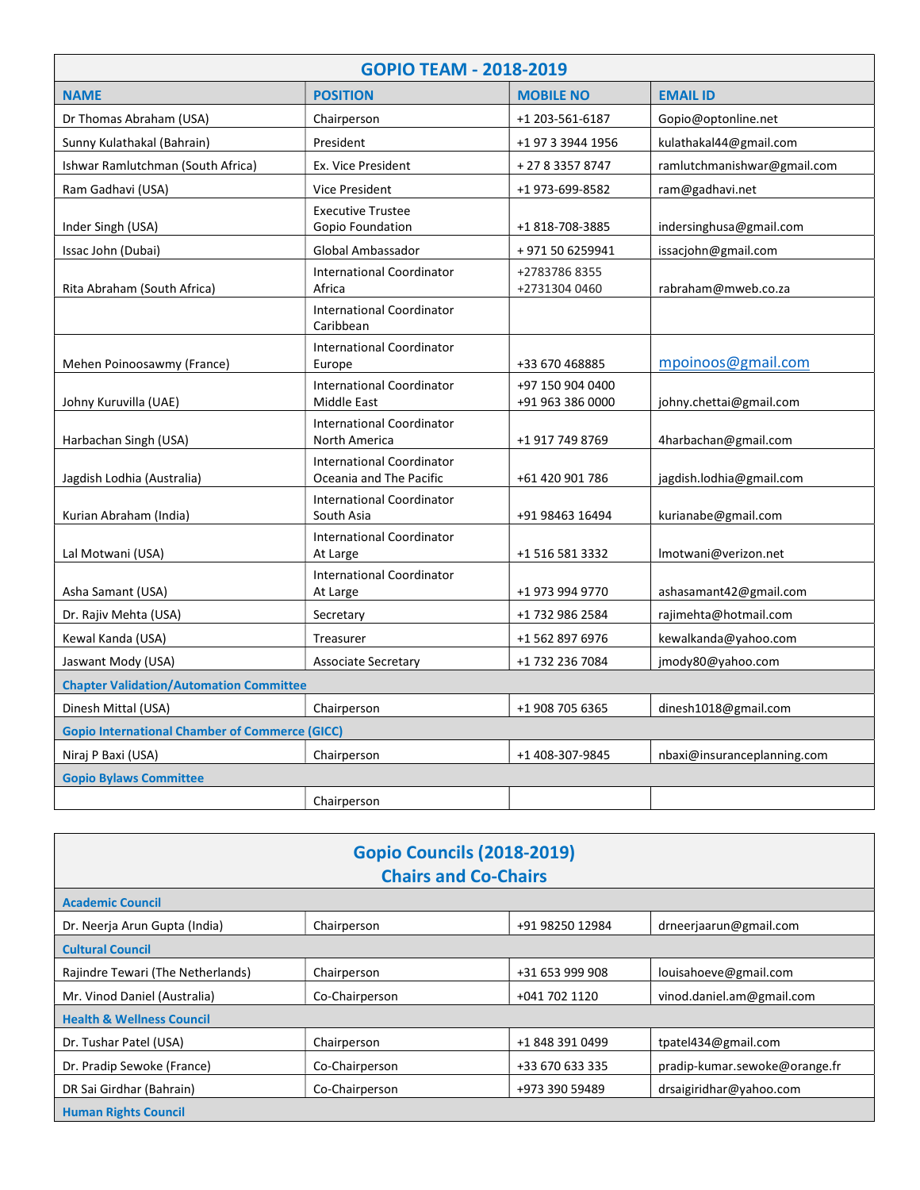| <b>GOPIO TEAM - 2018-2019</b>                         |                                                             |                                      |                             |  |  |
|-------------------------------------------------------|-------------------------------------------------------------|--------------------------------------|-----------------------------|--|--|
| <b>NAME</b>                                           | <b>POSITION</b>                                             | <b>MOBILE NO</b>                     | <b>EMAIL ID</b>             |  |  |
| Dr Thomas Abraham (USA)                               | Chairperson                                                 | +1 203-561-6187                      | Gopio@optonline.net         |  |  |
| Sunny Kulathakal (Bahrain)                            | President                                                   | +1 97 3 3944 1956                    | kulathakal44@gmail.com      |  |  |
| Ishwar Ramlutchman (South Africa)                     | Ex. Vice President                                          | + 27 8 3357 8747                     | ramlutchmanishwar@gmail.com |  |  |
| Ram Gadhavi (USA)                                     | <b>Vice President</b>                                       | +1 973-699-8582                      | ram@gadhavi.net             |  |  |
| Inder Singh (USA)                                     | <b>Executive Trustee</b><br>Gopio Foundation                | +1 818-708-3885                      | indersinghusa@gmail.com     |  |  |
| Issac John (Dubai)                                    | Global Ambassador                                           | +971506259941                        | issacjohn@gmail.com         |  |  |
| Rita Abraham (South Africa)                           | <b>International Coordinator</b><br>Africa                  | +27837868355<br>+2731304 0460        | rabraham@mweb.co.za         |  |  |
|                                                       | <b>International Coordinator</b><br>Caribbean               |                                      |                             |  |  |
| Mehen Poinoosawmy (France)                            | <b>International Coordinator</b><br>Europe                  | +33 670 468885                       | mpoinoos@gmail.com          |  |  |
| Johny Kuruvilla (UAE)                                 | <b>International Coordinator</b><br><b>Middle East</b>      | +97 150 904 0400<br>+91 963 386 0000 | johny.chettai@gmail.com     |  |  |
| Harbachan Singh (USA)                                 | <b>International Coordinator</b><br>North America           | +1 917 749 8769                      | 4harbachan@gmail.com        |  |  |
| Jagdish Lodhia (Australia)                            | <b>International Coordinator</b><br>Oceania and The Pacific | +61 420 901 786                      | jagdish.lodhia@gmail.com    |  |  |
| Kurian Abraham (India)                                | <b>International Coordinator</b><br>South Asia              | +91 98463 16494                      | kurianabe@gmail.com         |  |  |
| Lal Motwani (USA)                                     | <b>International Coordinator</b><br>At Large                | +1 516 581 3332                      | Imotwani@verizon.net        |  |  |
| Asha Samant (USA)                                     | <b>International Coordinator</b><br>At Large                | +1 973 994 9770                      | ashasamant42@gmail.com      |  |  |
| Dr. Rajiv Mehta (USA)                                 | Secretary                                                   | +1 732 986 2584                      | rajimehta@hotmail.com       |  |  |
| Kewal Kanda (USA)                                     | Treasurer                                                   | +1 562 897 6976                      | kewalkanda@yahoo.com        |  |  |
| Jaswant Mody (USA)                                    | <b>Associate Secretary</b>                                  | +1 732 236 7084                      | jmody80@yahoo.com           |  |  |
| <b>Chapter Validation/Automation Committee</b>        |                                                             |                                      |                             |  |  |
| Dinesh Mittal (USA)                                   | Chairperson                                                 | +1 908 705 6365                      | dinesh1018@gmail.com        |  |  |
| <b>Gopio International Chamber of Commerce (GICC)</b> |                                                             |                                      |                             |  |  |
| Niraj P Baxi (USA)                                    | Chairperson                                                 | +1 408-307-9845                      | nbaxi@insuranceplanning.com |  |  |
| <b>Gopio Bylaws Committee</b>                         |                                                             |                                      |                             |  |  |
|                                                       | Chairperson                                                 |                                      |                             |  |  |

| <b>Gopio Councils (2018-2019)</b><br><b>Chairs and Co-Chairs</b> |                |                 |                               |  |  |  |
|------------------------------------------------------------------|----------------|-----------------|-------------------------------|--|--|--|
| <b>Academic Council</b>                                          |                |                 |                               |  |  |  |
| Dr. Neerja Arun Gupta (India)                                    | Chairperson    | +91 98250 12984 | drneerjaarun@gmail.com        |  |  |  |
| <b>Cultural Council</b>                                          |                |                 |                               |  |  |  |
| Rajindre Tewari (The Netherlands)                                | Chairperson    | +31 653 999 908 | louisahoeve@gmail.com         |  |  |  |
| Mr. Vinod Daniel (Australia)                                     | Co-Chairperson | +041 702 1120   | vinod.daniel.am@gmail.com     |  |  |  |
| <b>Health &amp; Wellness Council</b>                             |                |                 |                               |  |  |  |
| Dr. Tushar Patel (USA)                                           | Chairperson    | +1 848 391 0499 | tpatel434@gmail.com           |  |  |  |
| Dr. Pradip Sewoke (France)                                       | Co-Chairperson | +33 670 633 335 | pradip-kumar.sewoke@orange.fr |  |  |  |
| DR Sai Girdhar (Bahrain)                                         | Co-Chairperson | +973 390 59489  | drsaigiridhar@yahoo.com       |  |  |  |
| <b>Human Rights Council</b>                                      |                |                 |                               |  |  |  |